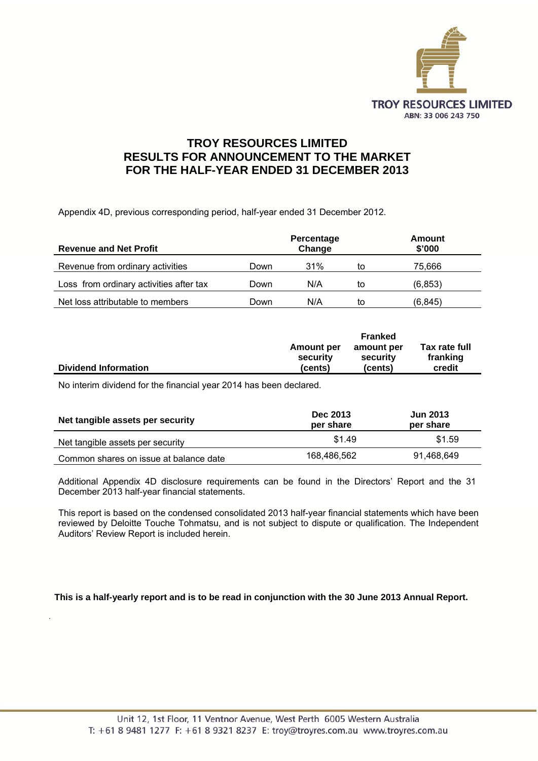

# **TROY RESOURCES LIMITED RESULTS FOR ANNOUNCEMENT TO THE MARKET FOR THE HALF-YEAR ENDED 31 DECEMBER 2013**

Appendix 4D, previous corresponding period, half-year ended 31 December 2012.

| <b>Revenue and Net Profit</b>           | Percentage<br>Change |     |    | Amount<br>\$'000 |
|-----------------------------------------|----------------------|-----|----|------------------|
| Revenue from ordinary activities        | Down                 | 31% | to | 75.666           |
| Loss from ordinary activities after tax | Down                 | N/A | to | (6, 853)         |
| Net loss attributable to members        | Down                 | N/A | to | (6, 845)         |

|                             |                   | <b>Franked</b> |               |
|-----------------------------|-------------------|----------------|---------------|
|                             | <b>Amount per</b> | amount per     | Tax rate full |
|                             | security          | security       | franking      |
| <b>Dividend Information</b> | (cents)           | (cents)        | credit        |

No interim dividend for the financial year 2014 has been declared.

.

| Net tangible assets per security       | Dec 2013<br>per share | <b>Jun 2013</b><br>per share |
|----------------------------------------|-----------------------|------------------------------|
| Net tangible assets per security       | \$1.49                | \$1.59                       |
| Common shares on issue at balance date | 168,486,562           | 91,468,649                   |

Additional Appendix 4D disclosure requirements can be found in the Directors' Report and the 31 December 2013 half-year financial statements.

This report is based on the condensed consolidated 2013 half-year financial statements which have been reviewed by Deloitte Touche Tohmatsu, and is not subject to dispute or qualification. The Independent Auditors' Review Report is included herein.

**This is a half-yearly report and is to be read in conjunction with the 30 June 2013 Annual Report.**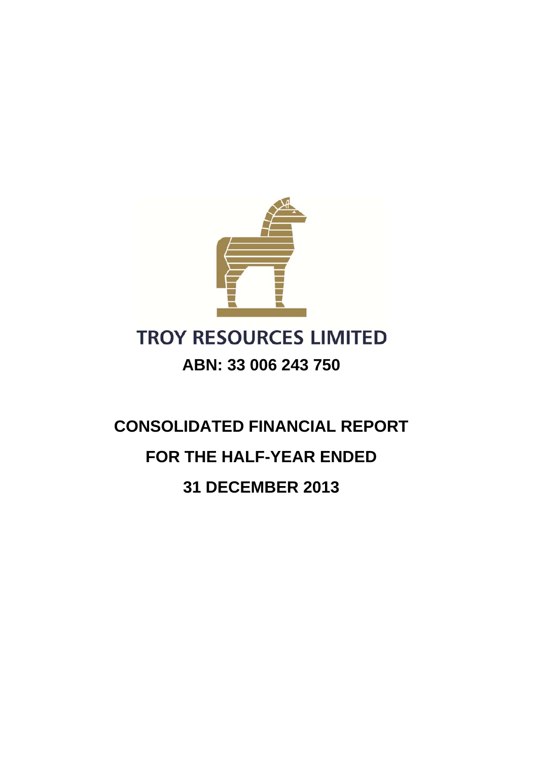

# **TROY RESOURCES LIMITED ABN: 33 006 243 750**

# **CONSOLIDATED FINANCIAL REPORT FOR THE HALF-YEAR ENDED 31 DECEMBER 2013**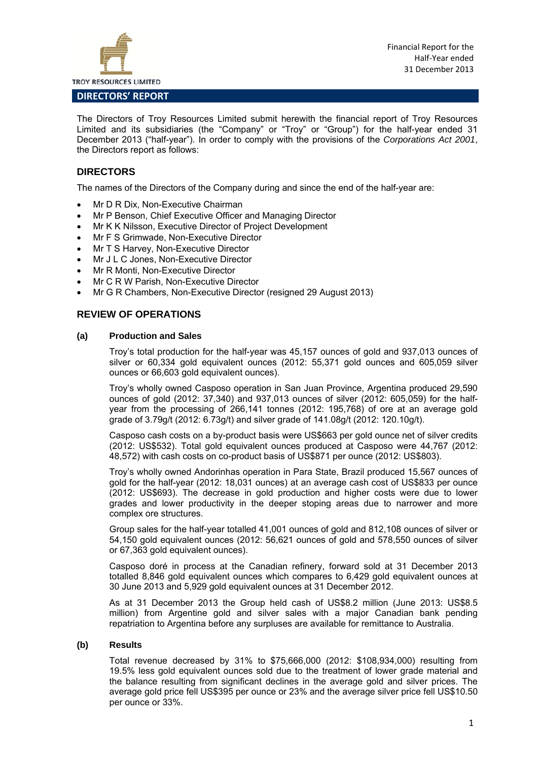

#### **DIRECTORS' REPORT**

The Directors of Troy Resources Limited submit herewith the financial report of Troy Resources Limited and its subsidiaries (the "Company" or "Troy" or "Group") for the half-year ended 31 December 2013 ("half-year"). In order to comply with the provisions of the *Corporations Act 2001*, the Directors report as follows:

#### **DIRECTORS**

The names of the Directors of the Company during and since the end of the half-year are:

- Mr D R Dix, Non-Executive Chairman
- Mr P Benson, Chief Executive Officer and Managing Director
- Mr K K Nilsson, Executive Director of Project Development
- Mr F S Grimwade, Non-Executive Director
- Mr T S Harvey, Non-Executive Director
- Mr J L C Jones, Non-Executive Director
- Mr R Monti, Non-Executive Director
- Mr C R W Parish, Non-Executive Director
- Mr G R Chambers, Non-Executive Director (resigned 29 August 2013)

#### **REVIEW OF OPERATIONS**

#### **(a) Production and Sales**

Troy's total production for the half-year was 45,157 ounces of gold and 937,013 ounces of silver or 60,334 gold equivalent ounces (2012: 55,371 gold ounces and 605,059 silver ounces or 66,603 gold equivalent ounces).

Troy's wholly owned Casposo operation in San Juan Province, Argentina produced 29,590 ounces of gold (2012: 37,340) and 937,013 ounces of silver (2012: 605,059) for the halfyear from the processing of 266,141 tonnes (2012: 195,768) of ore at an average gold grade of 3.79g/t (2012: 6.73g/t) and silver grade of 141.08g/t (2012: 120.10g/t).

Casposo cash costs on a by-product basis were US\$663 per gold ounce net of silver credits (2012: US\$532). Total gold equivalent ounces produced at Casposo were 44,767 (2012: 48,572) with cash costs on co-product basis of US\$871 per ounce (2012: US\$803).

Troy's wholly owned Andorinhas operation in Para State, Brazil produced 15,567 ounces of gold for the half-year (2012: 18,031 ounces) at an average cash cost of US\$833 per ounce (2012: US\$693). The decrease in gold production and higher costs were due to lower grades and lower productivity in the deeper stoping areas due to narrower and more complex ore structures.

Group sales for the half-year totalled 41,001 ounces of gold and 812,108 ounces of silver or 54,150 gold equivalent ounces (2012: 56,621 ounces of gold and 578,550 ounces of silver or 67,363 gold equivalent ounces).

Casposo doré in process at the Canadian refinery, forward sold at 31 December 2013 totalled 8,846 gold equivalent ounces which compares to 6,429 gold equivalent ounces at 30 June 2013 and 5,929 gold equivalent ounces at 31 December 2012.

As at 31 December 2013 the Group held cash of US\$8.2 million (June 2013: US\$8.5 million) from Argentine gold and silver sales with a major Canadian bank pending repatriation to Argentina before any surpluses are available for remittance to Australia.

#### **(b) Results**

Total revenue decreased by 31% to \$75,666,000 (2012: \$108,934,000) resulting from 19.5% less gold equivalent ounces sold due to the treatment of lower grade material and the balance resulting from significant declines in the average gold and silver prices. The average gold price fell US\$395 per ounce or 23% and the average silver price fell US\$10.50 per ounce or 33%.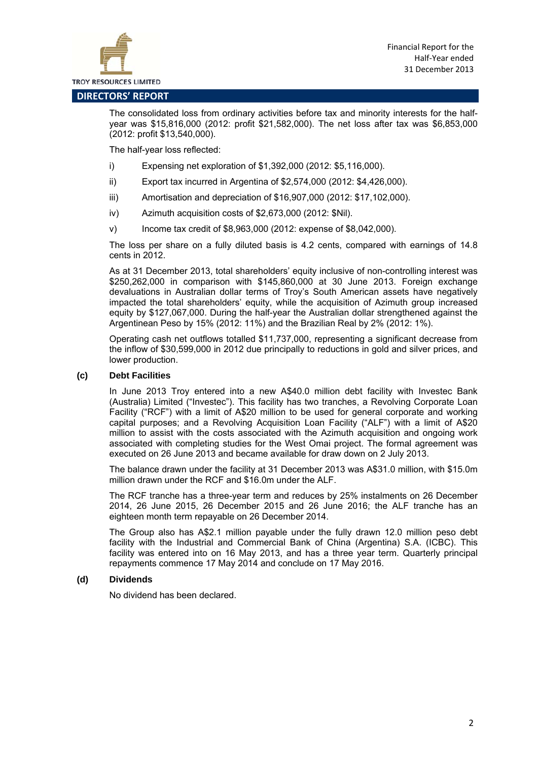

#### **DIRECTORS' REPORT**

The consolidated loss from ordinary activities before tax and minority interests for the halfyear was \$15,816,000 (2012: profit \$21,582,000). The net loss after tax was \$6,853,000 (2012: profit \$13,540,000).

The half-year loss reflected:

- i) Expensing net exploration of \$1,392,000 (2012: \$5,116,000).
- ii) Export tax incurred in Argentina of \$2,574,000 (2012: \$4,426,000).
- iii) Amortisation and depreciation of \$16,907,000 (2012: \$17,102,000).
- iv) Azimuth acquisition costs of \$2,673,000 (2012: \$Nil).
- v) Income tax credit of \$8,963,000 (2012: expense of \$8,042,000).

The loss per share on a fully diluted basis is 4.2 cents, compared with earnings of 14.8 cents in 2012.

As at 31 December 2013, total shareholders' equity inclusive of non-controlling interest was \$250,262,000 in comparison with \$145,860,000 at 30 June 2013. Foreign exchange devaluations in Australian dollar terms of Troy's South American assets have negatively impacted the total shareholders' equity, while the acquisition of Azimuth group increased equity by \$127,067,000. During the half-year the Australian dollar strengthened against the Argentinean Peso by 15% (2012: 11%) and the Brazilian Real by 2% (2012: 1%).

Operating cash net outflows totalled \$11,737,000, representing a significant decrease from the inflow of \$30,599,000 in 2012 due principally to reductions in gold and silver prices, and lower production.

#### **(c) Debt Facilities**

In June 2013 Troy entered into a new A\$40.0 million debt facility with Investec Bank (Australia) Limited ("Investec"). This facility has two tranches, a Revolving Corporate Loan Facility ("RCF") with a limit of A\$20 million to be used for general corporate and working capital purposes; and a Revolving Acquisition Loan Facility ("ALF") with a limit of A\$20 million to assist with the costs associated with the Azimuth acquisition and ongoing work associated with completing studies for the West Omai project. The formal agreement was executed on 26 June 2013 and became available for draw down on 2 July 2013.

The balance drawn under the facility at 31 December 2013 was A\$31.0 million, with \$15.0m million drawn under the RCF and \$16.0m under the ALF.

The RCF tranche has a three-year term and reduces by 25% instalments on 26 December 2014, 26 June 2015, 26 December 2015 and 26 June 2016; the ALF tranche has an eighteen month term repayable on 26 December 2014.

The Group also has A\$2.1 million payable under the fully drawn 12.0 million peso debt facility with the Industrial and Commercial Bank of China (Argentina) S.A. (ICBC). This facility was entered into on 16 May 2013, and has a three year term. Quarterly principal repayments commence 17 May 2014 and conclude on 17 May 2016.

#### **(d) Dividends**

No dividend has been declared.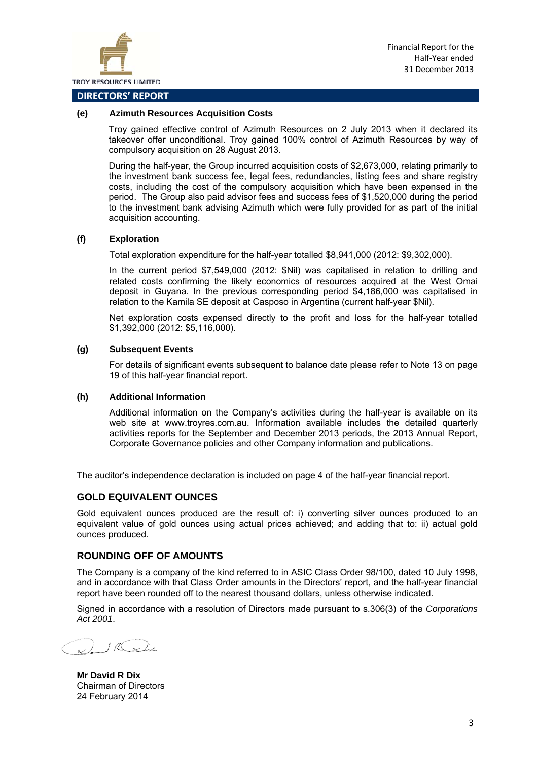

#### **DIRECTORS' REPORT**

#### **(e) Azimuth Resources Acquisition Costs**

Troy gained effective control of Azimuth Resources on 2 July 2013 when it declared its takeover offer unconditional. Troy gained 100% control of Azimuth Resources by way of compulsory acquisition on 28 August 2013.

During the half-year, the Group incurred acquisition costs of \$2,673,000, relating primarily to the investment bank success fee, legal fees, redundancies, listing fees and share registry costs, including the cost of the compulsory acquisition which have been expensed in the period. The Group also paid advisor fees and success fees of \$1,520,000 during the period to the investment bank advising Azimuth which were fully provided for as part of the initial acquisition accounting.

#### **(f) Exploration**

Total exploration expenditure for the half-year totalled \$8,941,000 (2012: \$9,302,000).

In the current period \$7,549,000 (2012: \$Nil) was capitalised in relation to drilling and related costs confirming the likely economics of resources acquired at the West Omai deposit in Guyana. In the previous corresponding period \$4,186,000 was capitalised in relation to the Kamila SE deposit at Casposo in Argentina (current half-year \$Nil).

Net exploration costs expensed directly to the profit and loss for the half-year totalled \$1,392,000 (2012: \$5,116,000).

#### **(g) Subsequent Events**

For details of significant events subsequent to balance date please refer to Note 13 on page 19 of this half-year financial report.

#### **(h) Additional Information**

Additional information on the Company's activities during the half-year is available on its web site at www.troyres.com.au. Information available includes the detailed quarterly activities reports for the September and December 2013 periods, the 2013 Annual Report, Corporate Governance policies and other Company information and publications.

The auditor's independence declaration is included on page 4 of the half-year financial report.

#### **GOLD EQUIVALENT OUNCES**

Gold equivalent ounces produced are the result of: i) converting silver ounces produced to an equivalent value of gold ounces using actual prices achieved; and adding that to: ii) actual gold ounces produced.

#### **ROUNDING OFF OF AMOUNTS**

The Company is a company of the kind referred to in ASIC Class Order 98/100, dated 10 July 1998, and in accordance with that Class Order amounts in the Directors' report, and the half-year financial report have been rounded off to the nearest thousand dollars, unless otherwise indicated.

Signed in accordance with a resolution of Directors made pursuant to s.306(3) of the *Corporations Act 2001*.

 $116$  or line

**Mr David R Dix**  Chairman of Directors 24 February 2014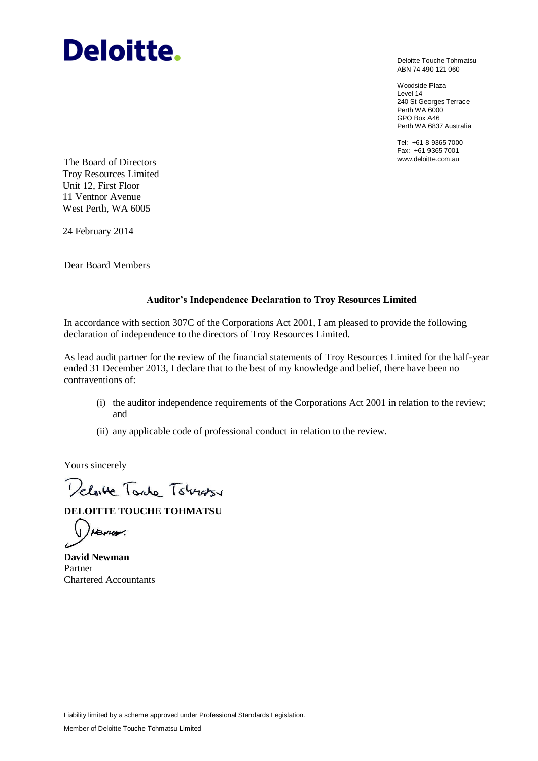# **Deloitte.**

Deloitte Touche Tohmatsu ABN 74 490 121 060

Woodside Plaza Level 14 240 St Georges Terrace Perth WA 6000 GPO Box A46 Perth WA 6837 Australia

Tel: +61 8 9365 7000 Fax: +61 9365 7001

www.deloitte.com.au The Board of Directors Troy Resources Limited Unit 12, First Floor 11 Ventnor Avenue West Perth, WA 6005

24 February 2014

Dear Board Members

#### **Auditor's Independence Declaration to Troy Resources Limited**

In accordance with section 307C of the Corporations Act 2001, I am pleased to provide the following declaration of independence to the directors of Troy Resources Limited.

As lead audit partner for the review of the financial statements of Troy Resources Limited for the half-year ended 31 December 2013, I declare that to the best of my knowledge and belief, there have been no contraventions of:

- (i) the auditor independence requirements of the Corporations Act 2001 in relation to the review; and
- (ii) any applicable code of professional conduct in relation to the review.

Yours sincerely

Delaite Tordo Towards

**DELOITTE TOUCHE TOHMATSU**

HEYHOV.

**David Newman** Partner Chartered Accountants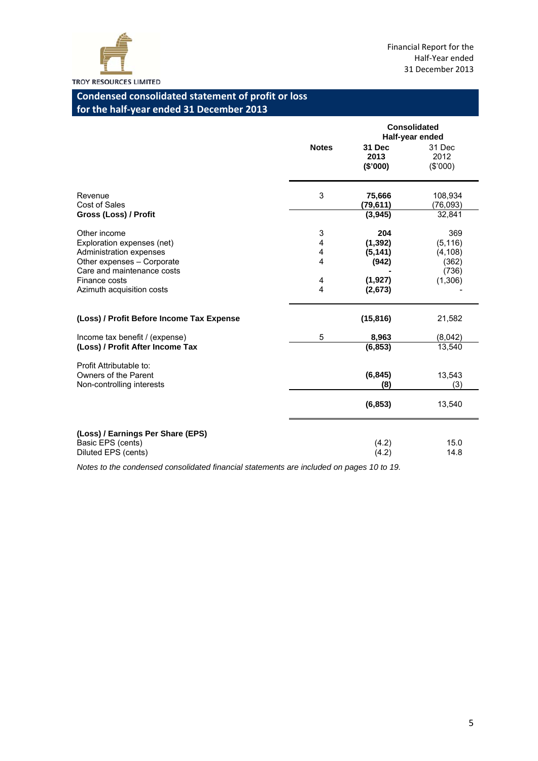

# **Condensed consolidated statement of profit or loss for the half‐year ended 31 December 2013**

|                                                                              |              | <b>Consolidated</b><br>Half-year ended |                               |  |  |
|------------------------------------------------------------------------------|--------------|----------------------------------------|-------------------------------|--|--|
|                                                                              | <b>Notes</b> | <b>31 Dec</b><br>2013<br>(\$'000)      | 31 Dec<br>2012<br>(\$'000)    |  |  |
| Revenue<br>Cost of Sales<br>Gross (Loss) / Profit                            | 3            | 75,666<br>(79,611)<br>(3,945)          | 108,934<br>(76,093)<br>32,841 |  |  |
|                                                                              |              |                                        |                               |  |  |
| Other income                                                                 | 3            | 204                                    | 369                           |  |  |
| Exploration expenses (net)                                                   | 4            | (1, 392)                               | (5, 116)                      |  |  |
| Administration expenses                                                      | 4            | (5, 141)                               | (4, 108)                      |  |  |
| Other expenses - Corporate                                                   | 4            | (942)                                  | (362)                         |  |  |
| Care and maintenance costs                                                   |              |                                        | (736)                         |  |  |
| Finance costs                                                                | 4            | (1, 927)                               | (1,306)                       |  |  |
| Azimuth acquisition costs                                                    | 4            | (2,673)                                |                               |  |  |
| (Loss) / Profit Before Income Tax Expense                                    |              | (15, 816)                              | 21,582                        |  |  |
| Income tax benefit / (expense)                                               | 5            | 8,963                                  | (8,042)                       |  |  |
| (Loss) / Profit After Income Tax                                             |              | (6, 853)                               | 13,540                        |  |  |
| Profit Attributable to:<br>Owners of the Parent<br>Non-controlling interests |              | (6, 845)<br>(8)                        | 13,543<br>(3)                 |  |  |
|                                                                              |              | (6, 853)                               | 13,540                        |  |  |
| (Loss) / Earnings Per Share (EPS)<br>Basic EPS (cents)                       |              | (4.2)                                  | 15.0                          |  |  |
| Diluted EPS (cents)                                                          |              | (4.2)                                  | 14.8                          |  |  |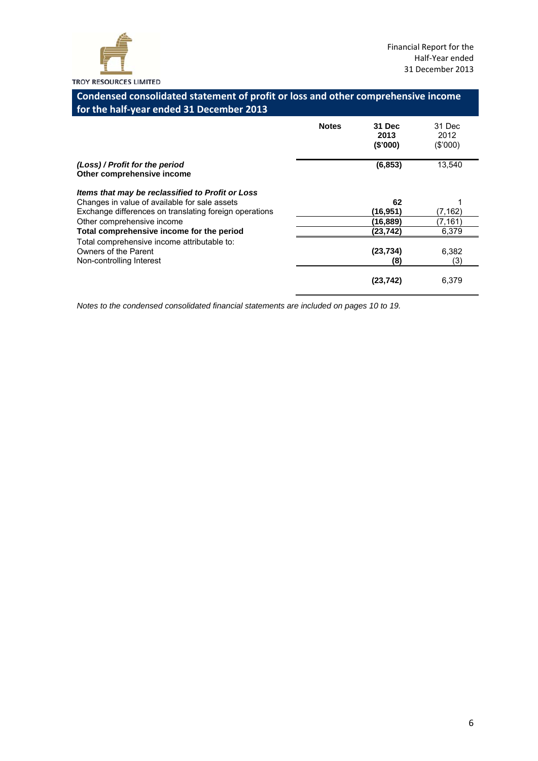

# **Condensed consolidated statement of profit or loss and other comprehensive income for the half‐year ended 31 December 2013**

|                                                                                                                                                             | <b>Notes</b> | 31 Dec<br>2013<br>(\$'000) | 31 Dec<br>2012<br>(S'000) |
|-------------------------------------------------------------------------------------------------------------------------------------------------------------|--------------|----------------------------|---------------------------|
| (Loss) / Profit for the period<br>Other comprehensive income                                                                                                |              | (6, 853)                   | 13.540                    |
| Items that may be reclassified to Profit or Loss<br>Changes in value of available for sale assets<br>Exchange differences on translating foreign operations |              | 62<br>(16,951)             | (7, 162)                  |
| Other comprehensive income<br>Total comprehensive income for the period                                                                                     |              | (16,889)<br>(23,742)       | (7, 161)<br>6,379         |
| Total comprehensive income attributable to:<br>Owners of the Parent<br>Non-controlling Interest                                                             |              | (23, 734)<br>(8)           | 6,382<br>(3)              |
|                                                                                                                                                             |              | (23.742)                   | 6.379                     |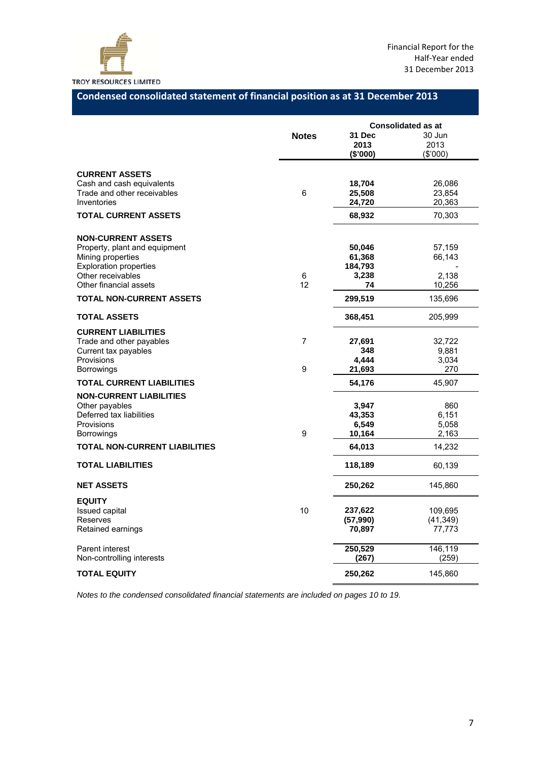

# **Condensed consolidated statement of financial position as at 31 December 2013**

|                                                          |                | <b>Consolidated as at</b> |           |  |
|----------------------------------------------------------|----------------|---------------------------|-----------|--|
|                                                          | <b>Notes</b>   | 31 Dec                    | 30 Jun    |  |
|                                                          |                | 2013                      | 2013      |  |
|                                                          |                | (\$'000)                  | (\$'000)  |  |
|                                                          |                |                           |           |  |
| <b>CURRENT ASSETS</b>                                    |                | 18,704                    | 26,086    |  |
| Cash and cash equivalents<br>Trade and other receivables | $\,6$          | 25,508                    | 23,854    |  |
| Inventories                                              |                | 24,720                    | 20,363    |  |
| <b>TOTAL CURRENT ASSETS</b>                              |                |                           |           |  |
|                                                          |                | 68,932                    | 70,303    |  |
| <b>NON-CURRENT ASSETS</b>                                |                |                           |           |  |
| Property, plant and equipment                            |                | 50,046                    | 57,159    |  |
| Mining properties                                        |                | 61,368                    | 66,143    |  |
| <b>Exploration properties</b>                            |                | 184,793                   |           |  |
| Other receivables                                        | 6              | 3,238                     | 2,138     |  |
| Other financial assets                                   | 12             | 74                        | 10,256    |  |
| <b>TOTAL NON-CURRENT ASSETS</b>                          |                | 299,519                   | 135,696   |  |
| <b>TOTAL ASSETS</b>                                      |                | 368,451                   | 205,999   |  |
| <b>CURRENT LIABILITIES</b>                               |                |                           |           |  |
| Trade and other payables                                 | $\overline{7}$ | 27,691                    | 32,722    |  |
| Current tax payables                                     |                | 348                       | 9,881     |  |
| Provisions                                               |                | 4,444                     | 3,034     |  |
| <b>Borrowings</b>                                        | 9              | 21,693                    | 270       |  |
| <b>TOTAL CURRENT LIABILITIES</b>                         |                | 54,176                    | 45,907    |  |
| <b>NON-CURRENT LIABILITIES</b>                           |                |                           |           |  |
| Other payables                                           |                | 3,947                     | 860       |  |
| Deferred tax liabilities                                 |                | 43,353                    | 6,151     |  |
| Provisions                                               |                | 6,549                     | 5,058     |  |
| <b>Borrowings</b>                                        | 9              | 10,164                    | 2,163     |  |
| <b>TOTAL NON-CURRENT LIABILITIES</b>                     |                | 64,013                    | 14,232    |  |
| <b>TOTAL LIABILITIES</b>                                 |                | 118,189                   | 60,139    |  |
| <b>NET ASSETS</b>                                        |                | 250,262                   | 145,860   |  |
| <b>EQUITY</b>                                            |                |                           |           |  |
| Issued capital                                           | 10             | 237,622                   | 109,695   |  |
| Reserves                                                 |                | (57, 990)                 | (41, 349) |  |
| Retained earnings                                        |                | 70,897                    | 77,773    |  |
| Parent interest                                          |                | 250,529                   | 146,119   |  |
| Non-controlling interests                                |                | (267)                     | (259)     |  |
| <b>TOTAL EQUITY</b>                                      |                | 250,262                   | 145,860   |  |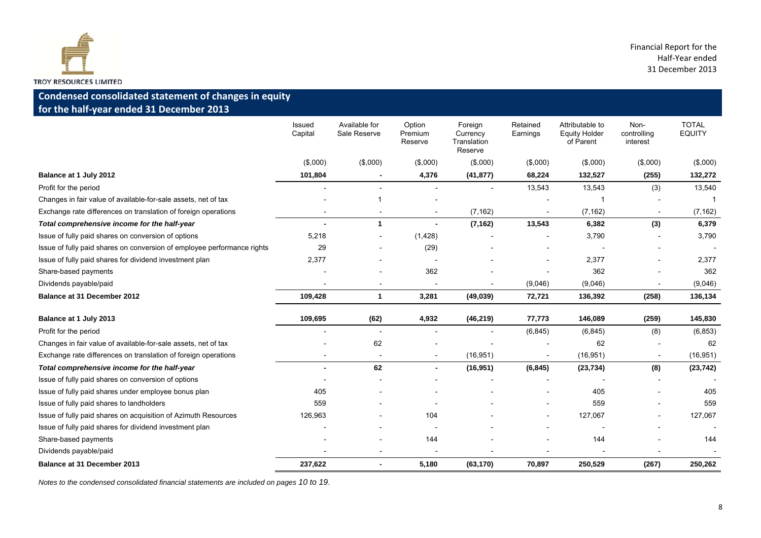

### **Condensed consolidated statement of changes in equity for the half‐year ended 31 December 2013**

|                                                                         | Issued<br>Capital | Available for<br>Sale Reserve | Option<br>Premium<br>Reserve | Foreign<br>Currency<br>Translation<br>Reserve | Retained<br>Earnings | Attributable to<br><b>Equity Holder</b><br>of Parent | Non-<br>controlling<br>interest | <b>TOTAL</b><br><b>EQUITY</b> |
|-------------------------------------------------------------------------|-------------------|-------------------------------|------------------------------|-----------------------------------------------|----------------------|------------------------------------------------------|---------------------------------|-------------------------------|
|                                                                         | (\$,000)          | $($ \$,000 $)$                | (\$,000)                     | (\$,000)                                      | (\$,000)             | (\$,000)                                             | (\$,000)                        | (\$,000)                      |
| Balance at 1 July 2012                                                  | 101,804           |                               | 4,376                        | (41, 877)                                     | 68,224               | 132,527                                              | (255)                           | 132,272                       |
| Profit for the period                                                   |                   |                               |                              |                                               | 13,543               | 13,543                                               | (3)                             | 13,540                        |
| Changes in fair value of available-for-sale assets, net of tax          |                   |                               |                              |                                               |                      |                                                      |                                 |                               |
| Exchange rate differences on translation of foreign operations          |                   |                               |                              | (7, 162)                                      |                      | (7, 162)                                             |                                 | (7, 162)                      |
| Total comprehensive income for the half-year                            |                   | $\blacktriangleleft$          |                              | (7, 162)                                      | 13,543               | 6,382                                                | (3)                             | 6,379                         |
| Issue of fully paid shares on conversion of options                     | 5,218             |                               | (1,428)                      |                                               |                      | 3,790                                                |                                 | 3,790                         |
| Issue of fully paid shares on conversion of employee performance rights | 29                |                               | (29)                         |                                               |                      |                                                      |                                 |                               |
| Issue of fully paid shares for dividend investment plan                 | 2,377             |                               |                              |                                               |                      | 2,377                                                |                                 | 2,377                         |
| Share-based payments                                                    |                   |                               | 362                          |                                               |                      | 362                                                  |                                 | 362                           |
| Dividends payable/paid                                                  |                   |                               |                              |                                               | (9,046)              | (9,046)                                              |                                 | (9,046)                       |
| Balance at 31 December 2012                                             | 109,428           | 1                             | 3,281                        | (49, 039)                                     | 72,721               | 136,392                                              | (258)                           | 136,134                       |
| Balance at 1 July 2013                                                  | 109,695           | (62)                          | 4,932                        | (46, 219)                                     | 77,773               | 146,089                                              | (259)                           | 145,830                       |
| Profit for the period                                                   |                   | $\overline{\phantom{a}}$      |                              |                                               | (6, 845)             | (6, 845)                                             | (8)                             | (6, 853)                      |
| Changes in fair value of available-for-sale assets, net of tax          |                   | 62                            |                              |                                               |                      | 62                                                   |                                 | 62                            |
| Exchange rate differences on translation of foreign operations          |                   | $\overline{\phantom{a}}$      |                              | (16, 951)                                     |                      | (16, 951)                                            |                                 | (16, 951)                     |
| Total comprehensive income for the half-year                            |                   | 62                            |                              | (16, 951)                                     | (6, 845)             | (23, 734)                                            | (8)                             | (23, 742)                     |
| Issue of fully paid shares on conversion of options                     |                   |                               |                              |                                               |                      |                                                      |                                 |                               |
| Issue of fully paid shares under employee bonus plan                    | 405               |                               |                              |                                               |                      | 405                                                  |                                 | 405                           |
| Issue of fully paid shares to landholders                               | 559               |                               |                              |                                               |                      | 559                                                  |                                 | 559                           |
| Issue of fully paid shares on acquisition of Azimuth Resources          | 126,963           |                               | 104                          |                                               |                      | 127,067                                              |                                 | 127,067                       |
| Issue of fully paid shares for dividend investment plan                 |                   |                               |                              |                                               |                      |                                                      |                                 |                               |
| Share-based payments                                                    |                   |                               | 144                          |                                               |                      | 144                                                  |                                 | 144                           |
| Dividends payable/paid                                                  |                   |                               |                              |                                               |                      |                                                      |                                 |                               |
| <b>Balance at 31 December 2013</b>                                      | 237,622           | $\blacksquare$                | 5,180                        | (63, 170)                                     | 70,897               | 250,529                                              | (267)                           | 250,262                       |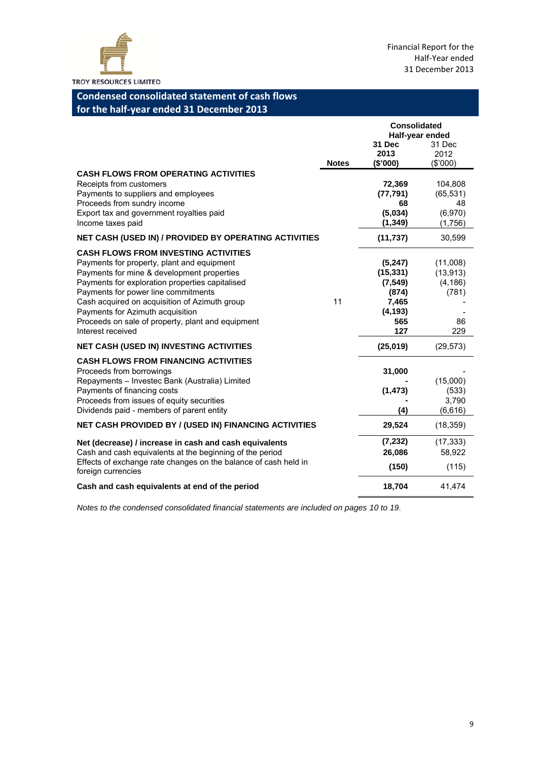

# **Condensed consolidated statement of cash flows for the half‐year ended 31 December 2013**

|                                                                                                                                                                                                                                                                                                                                                                                                  |              | <b>Consolidated</b><br>Half-year ended<br>31 Dec<br>31 Dec                   |                                                         |
|--------------------------------------------------------------------------------------------------------------------------------------------------------------------------------------------------------------------------------------------------------------------------------------------------------------------------------------------------------------------------------------------------|--------------|------------------------------------------------------------------------------|---------------------------------------------------------|
|                                                                                                                                                                                                                                                                                                                                                                                                  | <b>Notes</b> | 2013<br>(\$'000)                                                             | 2012<br>(\$'000)                                        |
| <b>CASH FLOWS FROM OPERATING ACTIVITIES</b><br>Receipts from customers<br>Payments to suppliers and employees<br>Proceeds from sundry income<br>Export tax and government royalties paid<br>Income taxes paid                                                                                                                                                                                    |              | 72,369<br>(77, 791)<br>68<br>(5,034)<br>(1, 349)                             | 104,808<br>(65, 531)<br>48<br>(6,970)<br>(1,756)        |
| NET CASH (USED IN) / PROVIDED BY OPERATING ACTIVITIES                                                                                                                                                                                                                                                                                                                                            |              | (11, 737)                                                                    | 30,599                                                  |
| <b>CASH FLOWS FROM INVESTING ACTIVITIES</b><br>Payments for property, plant and equipment<br>Payments for mine & development properties<br>Payments for exploration properties capitalised<br>Payments for power line commitments<br>Cash acquired on acquisition of Azimuth group<br>Payments for Azimuth acquisition<br>Proceeds on sale of property, plant and equipment<br>Interest received | 11           | (5,247)<br>(15, 331)<br>(7, 549)<br>(874)<br>7,465<br>(4, 193)<br>565<br>127 | (11,008)<br>(13, 913)<br>(4, 186)<br>(781)<br>86<br>229 |
| <b>NET CASH (USED IN) INVESTING ACTIVITIES</b>                                                                                                                                                                                                                                                                                                                                                   |              | (25,019)                                                                     | (29, 573)                                               |
| <b>CASH FLOWS FROM FINANCING ACTIVITIES</b><br>Proceeds from borrowings<br>Repayments - Investec Bank (Australia) Limited<br>Payments of financing costs<br>Proceeds from issues of equity securities<br>Dividends paid - members of parent entity                                                                                                                                               |              | 31,000<br>(1, 473)<br>(4)                                                    | (15,000)<br>(533)<br>3,790<br>(6,616)                   |
| <b>NET CASH PROVIDED BY / (USED IN) FINANCING ACTIVITIES</b>                                                                                                                                                                                                                                                                                                                                     |              | 29,524                                                                       | (18, 359)                                               |
| Net (decrease) / increase in cash and cash equivalents<br>Cash and cash equivalents at the beginning of the period<br>Effects of exchange rate changes on the balance of cash held in<br>foreign currencies                                                                                                                                                                                      |              | (7, 232)<br>26,086<br>(150)                                                  | (17, 333)<br>58,922<br>(115)                            |
| Cash and cash equivalents at end of the period                                                                                                                                                                                                                                                                                                                                                   |              | 18,704                                                                       | 41,474                                                  |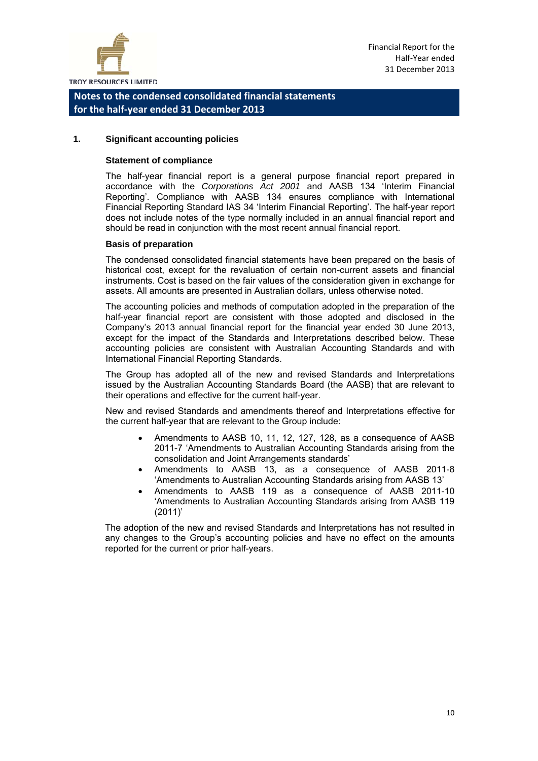

#### **1. Significant accounting policies**

#### **Statement of compliance**

The half-year financial report is a general purpose financial report prepared in accordance with the *Corporations Act 2001* and AASB 134 'Interim Financial Reporting'. Compliance with AASB 134 ensures compliance with International Financial Reporting Standard IAS 34 'Interim Financial Reporting'. The half-year report does not include notes of the type normally included in an annual financial report and should be read in conjunction with the most recent annual financial report.

#### **Basis of preparation**

The condensed consolidated financial statements have been prepared on the basis of historical cost, except for the revaluation of certain non-current assets and financial instruments. Cost is based on the fair values of the consideration given in exchange for assets. All amounts are presented in Australian dollars, unless otherwise noted.

The accounting policies and methods of computation adopted in the preparation of the half-year financial report are consistent with those adopted and disclosed in the Company's 2013 annual financial report for the financial year ended 30 June 2013, except for the impact of the Standards and Interpretations described below. These accounting policies are consistent with Australian Accounting Standards and with International Financial Reporting Standards.

The Group has adopted all of the new and revised Standards and Interpretations issued by the Australian Accounting Standards Board (the AASB) that are relevant to their operations and effective for the current half-year.

New and revised Standards and amendments thereof and Interpretations effective for the current half-year that are relevant to the Group include:

- Amendments to AASB 10, 11, 12, 127, 128, as a consequence of AASB 2011-7 'Amendments to Australian Accounting Standards arising from the consolidation and Joint Arrangements standards'
- Amendments to AASB 13, as a consequence of AASB 2011-8 'Amendments to Australian Accounting Standards arising from AASB 13'
- Amendments to AASB 119 as a consequence of AASB 2011-10 'Amendments to Australian Accounting Standards arising from AASB 119 (2011)'

The adoption of the new and revised Standards and Interpretations has not resulted in any changes to the Group's accounting policies and have no effect on the amounts reported for the current or prior half-years.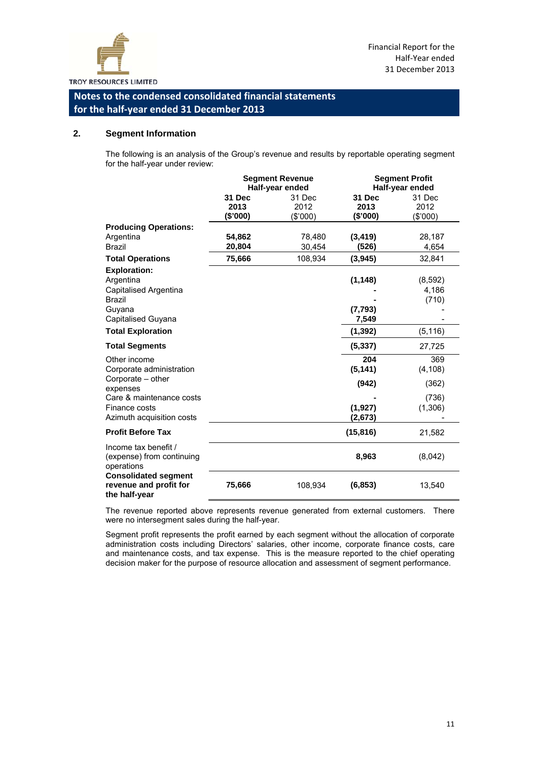

#### **2. Segment Information**

The following is an analysis of the Group's revenue and results by reportable operating segment for the half-year under review:

|                                                                        |          | <b>Segment Revenue</b> | <b>Segment Profit</b><br>Half-year ended |          |  |
|------------------------------------------------------------------------|----------|------------------------|------------------------------------------|----------|--|
|                                                                        |          | Half-year ended        |                                          |          |  |
|                                                                        | 31 Dec   | 31 Dec                 | 31 Dec                                   | 31 Dec   |  |
|                                                                        | 2013     | 2012                   | 2013                                     | 2012     |  |
|                                                                        | (\$'000) | (\$000)                | (\$'000)                                 | (\$'000) |  |
| <b>Producing Operations:</b>                                           |          |                        |                                          |          |  |
| Argentina                                                              | 54,862   | 78,480                 | (3, 419)                                 | 28,187   |  |
| Brazil                                                                 | 20,804   | 30,454                 | (526)                                    | 4,654    |  |
| <b>Total Operations</b>                                                | 75,666   | 108,934                | (3,945)                                  | 32,841   |  |
| <b>Exploration:</b>                                                    |          |                        |                                          |          |  |
| Argentina                                                              |          |                        | (1, 148)                                 | (8,592)  |  |
| Capitalised Argentina                                                  |          |                        |                                          | 4,186    |  |
| <b>Brazil</b>                                                          |          |                        |                                          | (710)    |  |
| Guyana                                                                 |          |                        | (7, 793)                                 |          |  |
| Capitalised Guyana                                                     |          |                        | 7,549                                    |          |  |
| <b>Total Exploration</b>                                               |          |                        | (1, 392)                                 | (5, 116) |  |
| <b>Total Segments</b>                                                  |          |                        | (5, 337)                                 | 27,725   |  |
|                                                                        |          |                        |                                          |          |  |
| Other income                                                           |          |                        | 204                                      | 369      |  |
| Corporate administration                                               |          |                        | (5, 141)                                 | (4, 108) |  |
| Corporate - other<br>expenses                                          |          |                        | (942)                                    | (362)    |  |
| Care & maintenance costs                                               |          |                        |                                          | (736)    |  |
| Finance costs                                                          |          |                        | (1, 927)                                 | (1,306)  |  |
| Azimuth acquisition costs                                              |          |                        | (2,673)                                  |          |  |
|                                                                        |          |                        |                                          |          |  |
| <b>Profit Before Tax</b>                                               |          |                        | (15, 816)                                | 21,582   |  |
| Income tax benefit /<br>(expense) from continuing<br>operations        |          |                        | 8,963                                    | (8,042)  |  |
| <b>Consolidated segment</b><br>revenue and profit for<br>the half-year | 75,666   | 108,934                | (6, 853)                                 | 13,540   |  |

The revenue reported above represents revenue generated from external customers. There were no intersegment sales during the half-year.

Segment profit represents the profit earned by each segment without the allocation of corporate administration costs including Directors' salaries, other income, corporate finance costs, care and maintenance costs, and tax expense. This is the measure reported to the chief operating decision maker for the purpose of resource allocation and assessment of segment performance.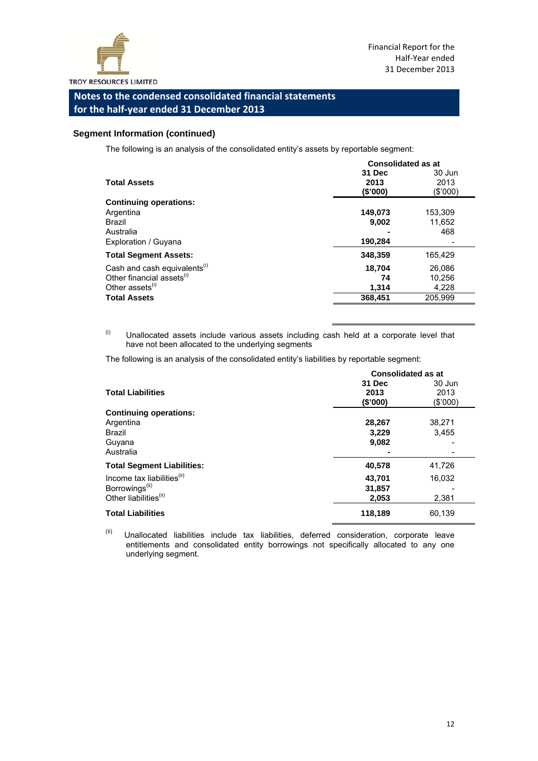

#### **Segment Information (continued)**

The following is an analysis of the consolidated entity's assets by reportable segment:

|                                          | <b>Consolidated as at</b> |                |  |
|------------------------------------------|---------------------------|----------------|--|
| <b>Total Assets</b>                      | 31 Dec<br>2013            | 30 Jun<br>2013 |  |
|                                          | (\$'000)                  | (\$'000)       |  |
| <b>Continuing operations:</b>            |                           |                |  |
| Argentina                                | 149,073                   | 153,309        |  |
| <b>Brazil</b>                            | 9,002                     | 11,652         |  |
| Australia                                |                           | 468            |  |
| Exploration / Guyana                     | 190,284                   |                |  |
| <b>Total Segment Assets:</b>             | 348,359                   | 165,429        |  |
| Cash and cash equivalents <sup>(1)</sup> | 18,704                    | 26.086         |  |
| Other financial assets <sup>(i)</sup>    | 74                        | 10,256         |  |
| Other assets <sup>(i)</sup>              | 1,314                     | 4,228          |  |
| <b>Total Assets</b>                      | 368,451                   | 205.999        |  |

 $(i)$  Unallocated assets include various assets including cash held at a corporate level that have not been allocated to the underlying segments

The following is an analysis of the consolidated entity's liabilities by reportable segment:

|                                        | <b>Consolidated as at</b>  |                            |  |
|----------------------------------------|----------------------------|----------------------------|--|
| <b>Total Liabilities</b>               | 31 Dec<br>2013<br>(\$'000) | 30 Jun<br>2013<br>(\$'000) |  |
| <b>Continuing operations:</b>          |                            |                            |  |
| Argentina                              | 28,267                     | 38,271                     |  |
| Brazil                                 | 3,229                      | 3,455                      |  |
| Guyana                                 | 9,082                      |                            |  |
| Australia                              |                            |                            |  |
| <b>Total Segment Liabilities:</b>      | 40,578                     | 41,726                     |  |
| Income tax liabilities <sup>(ii)</sup> | 43,701                     | 16,032                     |  |
| Borrowings <sup>(ii)</sup>             | 31,857                     |                            |  |
| Other liabilities <sup>(ii)</sup>      | 2,053                      | 2,381                      |  |
| <b>Total Liabilities</b>               | 118,189                    | 60,139                     |  |

 $<sup>(ii)</sup>$  Unallocated liabilities include tax liabilities, deferred consideration, corporate leave</sup> entitlements and consolidated entity borrowings not specifically allocated to any one underlying segment.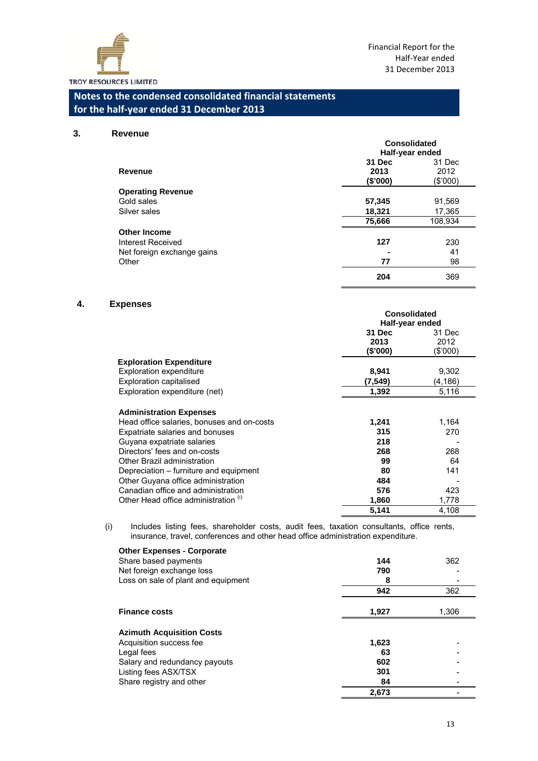

#### **3. Revenue**

| ,,,,,,,,                   | Consolidated<br>Half-year ended |                            |  |
|----------------------------|---------------------------------|----------------------------|--|
| Revenue                    | 31 Dec<br>2013<br>(\$'000)      | 31 Dec<br>2012<br>(\$'000) |  |
| <b>Operating Revenue</b>   |                                 |                            |  |
| Gold sales                 | 57,345                          | 91,569                     |  |
| Silver sales               | 18,321                          | 17,365                     |  |
|                            | 75,666                          | 108,934                    |  |
| <b>Other Income</b>        |                                 |                            |  |
| Interest Received          | 127                             | 230                        |  |
| Net foreign exchange gains |                                 | 41                         |  |
| Other                      | 77                              | 98                         |  |
|                            | 204                             | 369                        |  |

#### **4. Expenses**

|                                            | <b>Consolidated</b><br>Half-year ended |          |
|--------------------------------------------|----------------------------------------|----------|
|                                            | 31 Dec                                 | 31 Dec   |
|                                            | 2013                                   | 2012     |
|                                            | (\$'000)                               | (\$'000) |
| <b>Exploration Expenditure</b>             |                                        |          |
| <b>Exploration expenditure</b>             | 8,941                                  | 9,302    |
| <b>Exploration capitalised</b>             | (7,549)                                | (4,186)  |
| Exploration expenditure (net)              | 1,392                                  | 5,116    |
|                                            |                                        |          |
| <b>Administration Expenses</b>             |                                        |          |
| Head office salaries, bonuses and on-costs | 1,241                                  | 1,164    |
| Expatriate salaries and bonuses            | 315                                    | 270      |
| Guyana expatriate salaries                 | 218                                    |          |
| Directors' fees and on-costs               | 268                                    | 268      |
| Other Brazil administration                | 99                                     | 64       |
| Depreciation – furniture and equipment     | 80                                     | 141      |
| Other Guyana office administration         | 484                                    |          |
| Canadian office and administration         | 576                                    | 423      |
|                                            |                                        |          |
| Other Head office administration (1)       | 1,860                                  | 1,778    |
|                                            | 5,141                                  | 4,108    |

(i) Includes listing fees, shareholder costs, audit fees, taxation consultants, office rents, insurance, travel, conferences and other head office administration expenditure.

| <b>Other Expenses - Corporate</b><br>Share based payments<br>Net foreign exchange loss<br>Loss on sale of plant and equipment                                  | 144<br>790<br>8                 | 362   |
|----------------------------------------------------------------------------------------------------------------------------------------------------------------|---------------------------------|-------|
|                                                                                                                                                                | 942                             | 362   |
| <b>Finance costs</b>                                                                                                                                           | 1,927                           | 1,306 |
| <b>Azimuth Acquisition Costs</b><br>Acquisition success fee<br>Legal fees<br>Salary and redundancy payouts<br>Listing fees ASX/TSX<br>Share registry and other | 1,623<br>63<br>602<br>301<br>84 |       |
|                                                                                                                                                                | 2,673                           |       |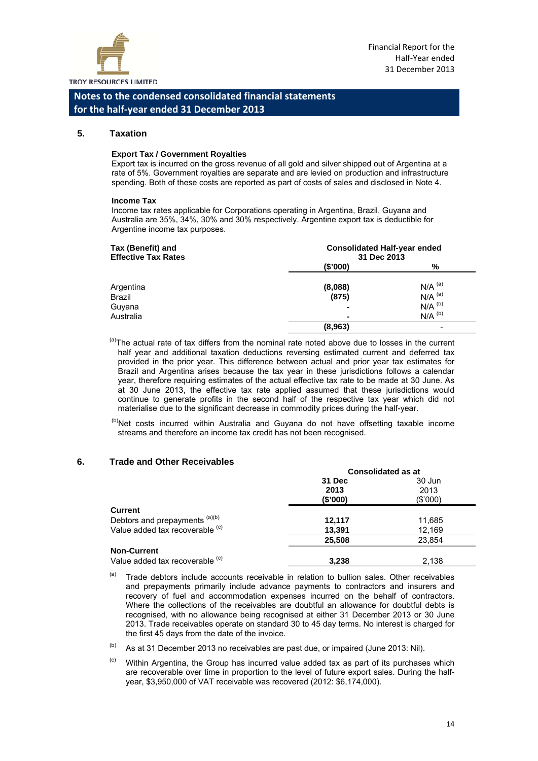

#### **5. Taxation**

#### **Export Tax / Government Royalties**

Export tax is incurred on the gross revenue of all gold and silver shipped out of Argentina at a rate of 5%. Government royalties are separate and are levied on production and infrastructure spending. Both of these costs are reported as part of costs of sales and disclosed in Note 4.

#### **Income Tax**

Income tax rates applicable for Corporations operating in Argentina, Brazil, Guyana and Australia are 35%, 34%, 30% and 30% respectively. Argentine export tax is deductible for Argentine income tax purposes.

| Tax (Benefit) and<br><b>Effective Tax Rates</b> | <b>Consolidated Half-year ended</b><br>31 Dec 2013 |                      |  |
|-------------------------------------------------|----------------------------------------------------|----------------------|--|
|                                                 | (\$'000)                                           | %                    |  |
| Argentina                                       | (8,088)                                            | $N/A$ <sup>(a)</sup> |  |
| Brazil                                          | (875)                                              | $N/A$ <sup>(a)</sup> |  |
| Guyana                                          | $\blacksquare$                                     | $N/A$ <sup>(b)</sup> |  |
| Australia                                       | $\blacksquare$                                     | $N/A$ <sup>(b)</sup> |  |
|                                                 | (8,963)                                            |                      |  |

 $<sup>(a)</sup>$ The actual rate of tax differs from the nominal rate noted above due to losses in the current</sup> half year and additional taxation deductions reversing estimated current and deferred tax provided in the prior year. This difference between actual and prior year tax estimates for Brazil and Argentina arises because the tax year in these jurisdictions follows a calendar year, therefore requiring estimates of the actual effective tax rate to be made at 30 June. As at 30 June 2013, the effective tax rate applied assumed that these jurisdictions would continue to generate profits in the second half of the respective tax year which did not materialise due to the significant decrease in commodity prices during the half-year.

 $(b)$ Net costs incurred within Australia and Guyana do not have offsetting taxable income streams and therefore an income tax credit has not been recognised.

#### **6. Trade and Other Receivables**

|                                 | <b>Consolidated as at</b> |          |
|---------------------------------|---------------------------|----------|
|                                 | 31 Dec                    | 30 Jun   |
|                                 | 2013                      | 2013     |
|                                 | (\$'000)                  | (\$'000) |
| <b>Current</b>                  |                           |          |
| Debtors and prepayments (a)(b)  | 12,117                    | 11,685   |
| Value added tax recoverable (c) | 13,391                    | 12.169   |
|                                 | 25.508                    | 23.854   |
| <b>Non-Current</b>              |                           |          |
| Value added tax recoverable (c) | 3.238                     | 2.138    |

- $(a)$  Trade debtors include accounts receivable in relation to bullion sales. Other receivables and prepayments primarily include advance payments to contractors and insurers and recovery of fuel and accommodation expenses incurred on the behalf of contractors. Where the collections of the receivables are doubtful an allowance for doubtful debts is recognised, with no allowance being recognised at either 31 December 2013 or 30 June 2013. Trade receivables operate on standard 30 to 45 day terms. No interest is charged for the first 45 days from the date of the invoice.
- $(b)$  As at 31 December 2013 no receivables are past due, or impaired (June 2013: Nil).
- $(6)$  Within Argentina, the Group has incurred value added tax as part of its purchases which are recoverable over time in proportion to the level of future export sales. During the halfyear, \$3,950,000 of VAT receivable was recovered (2012: \$6,174,000).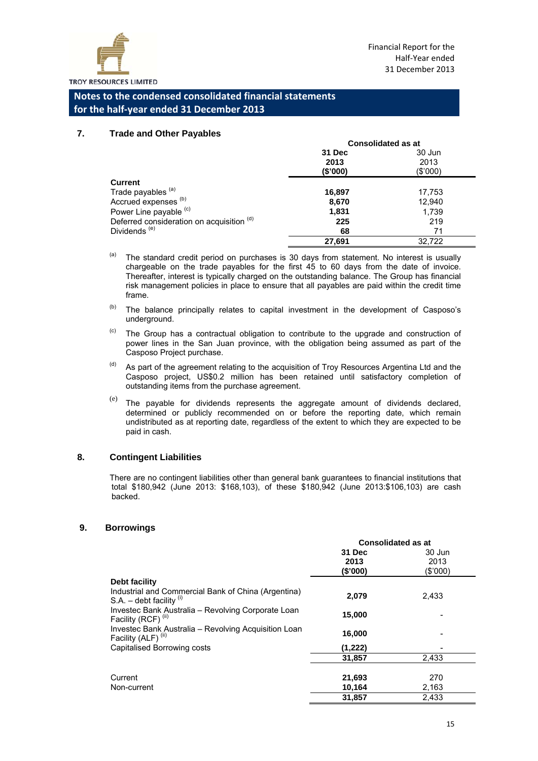

#### **7. Trade and Other Payables**

|                                           | <b>Consolidated as at</b> |          |
|-------------------------------------------|---------------------------|----------|
|                                           | 31 Dec                    | 30 Jun   |
|                                           | 2013                      | 2013     |
|                                           | (\$'000)                  | (\$'000) |
| <b>Current</b>                            |                           |          |
| Trade payables (a)                        | 16,897                    | 17,753   |
| Accrued expenses <sup>(b)</sup>           | 8,670                     | 12,940   |
| Power Line payable (c)                    | 1,831                     | 1,739    |
| Deferred consideration on acquisition (d) | 225                       | 219      |
| Dividends <sup>(e)</sup>                  | 68                        | 71       |
|                                           | 27,691                    | 32,722   |

 $(a)$  The standard credit period on purchases is 30 days from statement. No interest is usually chargeable on the trade payables for the first 45 to 60 days from the date of invoice. Thereafter, interest is typically charged on the outstanding balance. The Group has financial risk management policies in place to ensure that all payables are paid within the credit time frame.

- $(b)$  The balance principally relates to capital investment in the development of Casposo's underground.
- $\degree$  The Group has a contractual obligation to contribute to the upgrade and construction of power lines in the San Juan province, with the obligation being assumed as part of the Casposo Project purchase.
- $<sup>(d)</sup>$  As part of the agreement relating to the acquisition of Troy Resources Argentina Ltd and the</sup> Casposo project, US\$0.2 million has been retained until satisfactory completion of outstanding items from the purchase agreement.
- $($ e) The payable for dividends represents the aggregate amount of dividends declared. determined or publicly recommended on or before the reporting date, which remain undistributed as at reporting date, regardless of the extent to which they are expected to be paid in cash.

#### **8. Contingent Liabilities**

There are no contingent liabilities other than general bank guarantees to financial institutions that total \$180,942 (June 2013: \$168,103), of these \$180,942 (June 2013:\$106,103) are cash backed.

#### **9. Borrowings**

|                                                                                        | <b>Consolidated as at</b>  |                            |
|----------------------------------------------------------------------------------------|----------------------------|----------------------------|
|                                                                                        | 31 Dec<br>2013<br>(\$'000) | 30 Jun<br>2013<br>(\$'000) |
| Debt facility                                                                          |                            |                            |
| Industrial and Commercial Bank of China (Argentina)<br>S.A. – debt facility $(i)$      | 2,079                      | 2,433                      |
| Investec Bank Australia – Revolving Corporate Loan<br>Facility (RCF) <sup>(ii)</sup>   | 15,000                     |                            |
| Investec Bank Australia - Revolving Acquisition Loan<br>Facility (ALF) <sup>(ii)</sup> | 16,000                     |                            |
| Capitalised Borrowing costs                                                            | (1,222)                    |                            |
|                                                                                        | 31,857                     | 2.433                      |
| Current                                                                                | 21,693                     | 270                        |
| Non-current                                                                            | 10,164                     | 2,163                      |
|                                                                                        | 31,857                     | 2,433                      |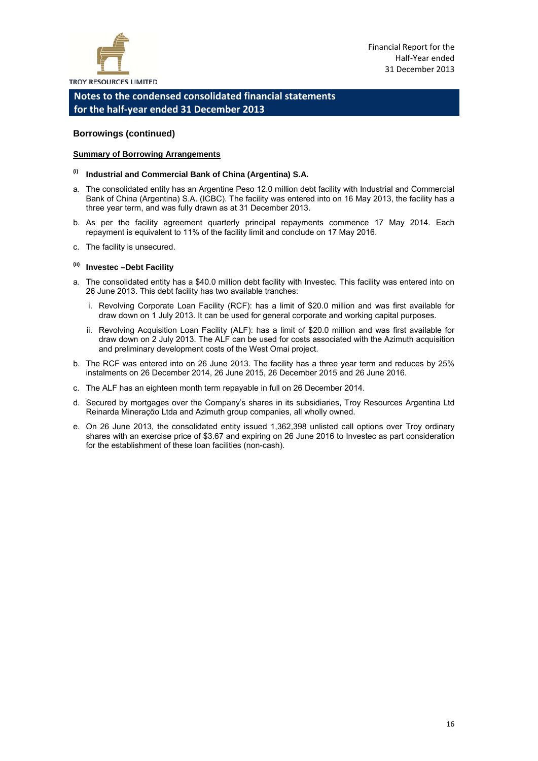

#### **Borrowings (continued)**

#### **Summary of Borrowing Arrangements**

- **(i) Industrial and Commercial Bank of China (Argentina) S.A.**
- a. The consolidated entity has an Argentine Peso 12.0 million debt facility with Industrial and Commercial Bank of China (Argentina) S.A. (ICBC). The facility was entered into on 16 May 2013, the facility has a three year term, and was fully drawn as at 31 December 2013.
- b. As per the facility agreement quarterly principal repayments commence 17 May 2014. Each repayment is equivalent to 11% of the facility limit and conclude on 17 May 2016.
- c. The facility is unsecured.

#### **(ii) Investec –Debt Facility**

- a. The consolidated entity has a \$40.0 million debt facility with Investec. This facility was entered into on 26 June 2013. This debt facility has two available tranches:
	- i. Revolving Corporate Loan Facility (RCF): has a limit of \$20.0 million and was first available for draw down on 1 July 2013. It can be used for general corporate and working capital purposes.
	- ii. Revolving Acquisition Loan Facility (ALF): has a limit of \$20.0 million and was first available for draw down on 2 July 2013. The ALF can be used for costs associated with the Azimuth acquisition and preliminary development costs of the West Omai project.
- b. The RCF was entered into on 26 June 2013. The facility has a three year term and reduces by 25% instalments on 26 December 2014, 26 June 2015, 26 December 2015 and 26 June 2016.
- c. The ALF has an eighteen month term repayable in full on 26 December 2014.
- d. Secured by mortgages over the Company's shares in its subsidiaries, Troy Resources Argentina Ltd Reinarda Mineraς « Ltda and Azimuth group companies, all wholly owned.
- e. On 26 June 2013, the consolidated entity issued 1,362,398 unlisted call options over Troy ordinary shares with an exercise price of \$3.67 and expiring on 26 June 2016 to Investec as part consideration for the establishment of these loan facilities (non-cash).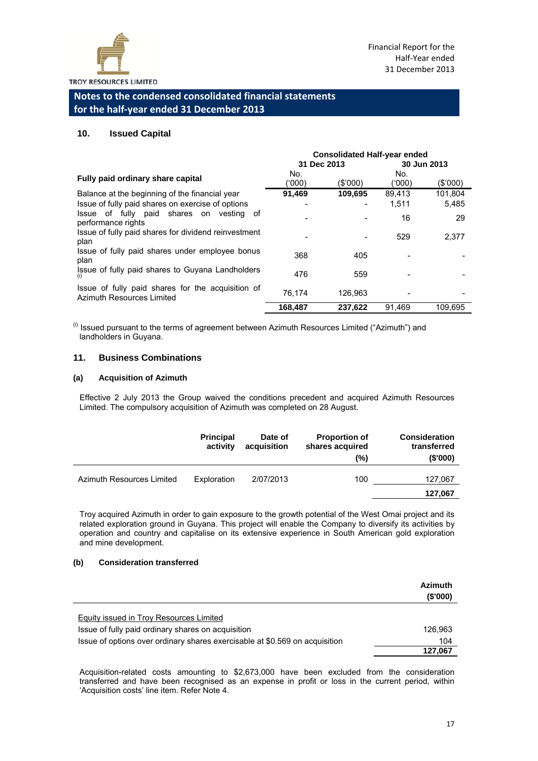

#### **10. Issued Capital**

|                                                                                | <b>Consolidated Half-year ended</b> |             |               |             |
|--------------------------------------------------------------------------------|-------------------------------------|-------------|---------------|-------------|
|                                                                                |                                     | 31 Dec 2013 |               | 30 Jun 2013 |
| Fully paid ordinary share capital                                              | No.<br>(000)                        | (\$'000)    | No.<br>('000) | (S'000)     |
| Balance at the beginning of the financial year                                 | 91,469                              | 109,695     | 89,413        | 101.804     |
| Issue of fully paid shares on exercise of options                              |                                     |             | 1.511         | 5,485       |
| Issue of fully paid shares on vesting<br>of<br>performance rights              |                                     |             | 16            | 29          |
| Issue of fully paid shares for dividend reinvestment<br>plan                   |                                     |             | 529           | 2.377       |
| Issue of fully paid shares under employee bonus<br>plan                        | 368                                 | 405         |               |             |
| Issue of fully paid shares to Guyana Landholders<br>(i)                        | 476                                 | 559         |               |             |
| Issue of fully paid shares for the acquisition of<br>Azimuth Resources Limited | 76.174                              | 126.963     |               |             |
|                                                                                | 168.487                             | 237.622     | 91.469        | 109.695     |

 $<sup>(i)</sup>$  Issued pursuant to the terms of agreement between Azimuth Resources Limited ("Azimuth") and</sup> landholders in Guyana.

#### **11. Business Combinations**

#### **(a) Acquisition of Azimuth**

Effective 2 July 2013 the Group waived the conditions precedent and acquired Azimuth Resources Limited. The compulsory acquisition of Azimuth was completed on 28 August.

|                           | <b>Principal</b><br>activity | Date of<br>acquisition | <b>Proportion of</b><br>shares acquired<br>(%) | <b>Consideration</b><br>transferred<br>(S'000) |
|---------------------------|------------------------------|------------------------|------------------------------------------------|------------------------------------------------|
| Azimuth Resources Limited | Exploration                  | 2/07/2013              | 100                                            | 127,067<br>127,067                             |

Troy acquired Azimuth in order to gain exposure to the growth potential of the West Omai project and its related exploration ground in Guyana. This project will enable the Company to diversify its activities by operation and country and capitalise on its extensive experience in South American gold exploration and mine development.

#### **(b) Consideration transferred**

|                                                                             | <b>Azimuth</b><br>(S'000) |
|-----------------------------------------------------------------------------|---------------------------|
|                                                                             |                           |
| <b>Equity issued in Troy Resources Limited</b>                              |                           |
| Issue of fully paid ordinary shares on acquisition                          | 126.963                   |
| Issue of options over ordinary shares exercisable at \$0.569 on acquisition | 104                       |
|                                                                             | 127,067                   |

Acquisition-related costs amounting to \$2,673,000 have been excluded from the consideration transferred and have been recognised as an expense in profit or loss in the current period, within 'Acquisition costs' line item. Refer Note 4.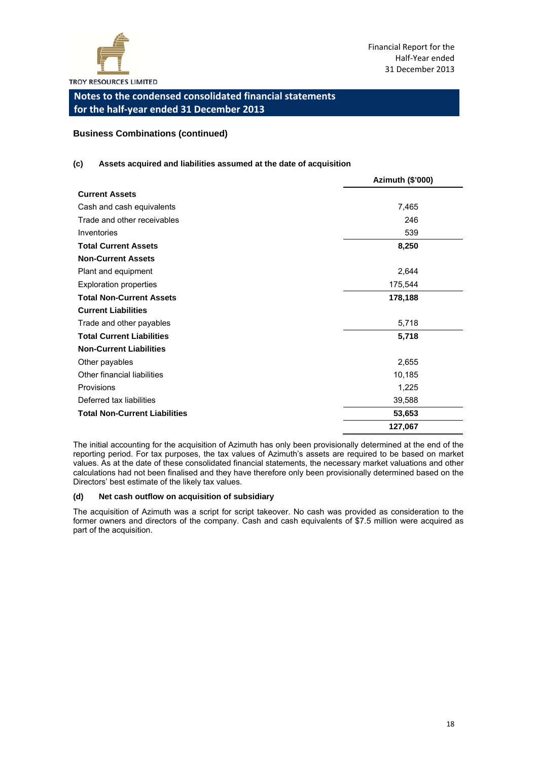

#### **Business Combinations (continued)**

#### **(c) Assets acquired and liabilities assumed at the date of acquisition**

|                                      | Azimuth (\$'000) |
|--------------------------------------|------------------|
| <b>Current Assets</b>                |                  |
| Cash and cash equivalents            | 7,465            |
| Trade and other receivables          | 246              |
| Inventories                          | 539              |
| <b>Total Current Assets</b>          | 8,250            |
| <b>Non-Current Assets</b>            |                  |
| Plant and equipment                  | 2,644            |
| <b>Exploration properties</b>        | 175,544          |
| <b>Total Non-Current Assets</b>      | 178,188          |
| <b>Current Liabilities</b>           |                  |
| Trade and other payables             | 5,718            |
| <b>Total Current Liabilities</b>     | 5,718            |
| <b>Non-Current Liabilities</b>       |                  |
| Other payables                       | 2,655            |
| Other financial liabilities          | 10,185           |
| Provisions                           | 1,225            |
| Deferred tax liabilities             | 39,588           |
| <b>Total Non-Current Liabilities</b> | 53,653           |
|                                      | 127,067          |

The initial accounting for the acquisition of Azimuth has only been provisionally determined at the end of the reporting period. For tax purposes, the tax values of Azimuth's assets are required to be based on market values. As at the date of these consolidated financial statements, the necessary market valuations and other calculations had not been finalised and they have therefore only been provisionally determined based on the Directors' best estimate of the likely tax values.

#### **(d) Net cash outflow on acquisition of subsidiary**

The acquisition of Azimuth was a script for script takeover. No cash was provided as consideration to the former owners and directors of the company. Cash and cash equivalents of \$7.5 million were acquired as part of the acquisition.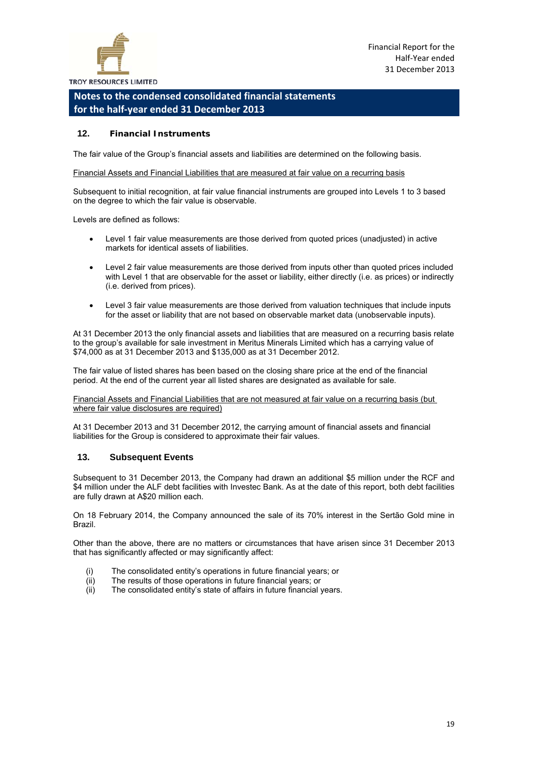

#### **12. Financial Instruments**

The fair value of the Group's financial assets and liabilities are determined on the following basis.

#### Financial Assets and Financial Liabilities that are measured at fair value on a recurring basis

Subsequent to initial recognition, at fair value financial instruments are grouped into Levels 1 to 3 based on the degree to which the fair value is observable.

Levels are defined as follows:

- Level 1 fair value measurements are those derived from quoted prices (unadjusted) in active markets for identical assets of liabilities.
- Level 2 fair value measurements are those derived from inputs other than quoted prices included with Level 1 that are observable for the asset or liability, either directly (i.e. as prices) or indirectly (i.e. derived from prices).
- Level 3 fair value measurements are those derived from valuation techniques that include inputs for the asset or liability that are not based on observable market data (unobservable inputs).

At 31 December 2013 the only financial assets and liabilities that are measured on a recurring basis relate to the group's available for sale investment in Meritus Minerals Limited which has a carrying value of \$74,000 as at 31 December 2013 and \$135,000 as at 31 December 2012.

The fair value of listed shares has been based on the closing share price at the end of the financial period. At the end of the current year all listed shares are designated as available for sale.

Financial Assets and Financial Liabilities that are not measured at fair value on a recurring basis (but where fair value disclosures are required)

At 31 December 2013 and 31 December 2012, the carrying amount of financial assets and financial liabilities for the Group is considered to approximate their fair values.

#### **13. Subsequent Events**

Subsequent to 31 December 2013, the Company had drawn an additional \$5 million under the RCF and \$4 million under the ALF debt facilities with Investec Bank. As at the date of this report, both debt facilities are fully drawn at A\$20 million each.

On 18 February 2014, the Company announced the sale of its 70% interest in the Sertão Gold mine in Brazil.

Other than the above, there are no matters or circumstances that have arisen since 31 December 2013 that has significantly affected or may significantly affect:

- (i) The consolidated entity's operations in future financial years; or
- (ii) The results of those operations in future financial years; or
- (ii) The consolidated entity's state of affairs in future financial years.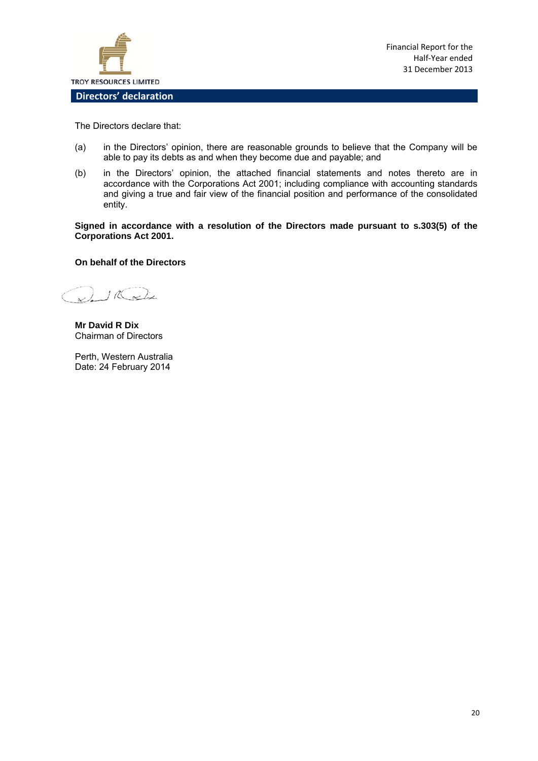

The Directors declare that:

- (a) in the Directors' opinion, there are reasonable grounds to believe that the Company will be able to pay its debts as and when they become due and payable; and
- (b) in the Directors' opinion, the attached financial statements and notes thereto are in accordance with the Corporations Act 2001; including compliance with accounting standards and giving a true and fair view of the financial position and performance of the consolidated entity.

**Signed in accordance with a resolution of the Directors made pursuant to s.303(5) of the Corporations Act 2001.** 

#### **On behalf of the Directors**

) IR ación

**Mr David R Dix**  Chairman of Directors

Perth, Western Australia Date: 24 February 2014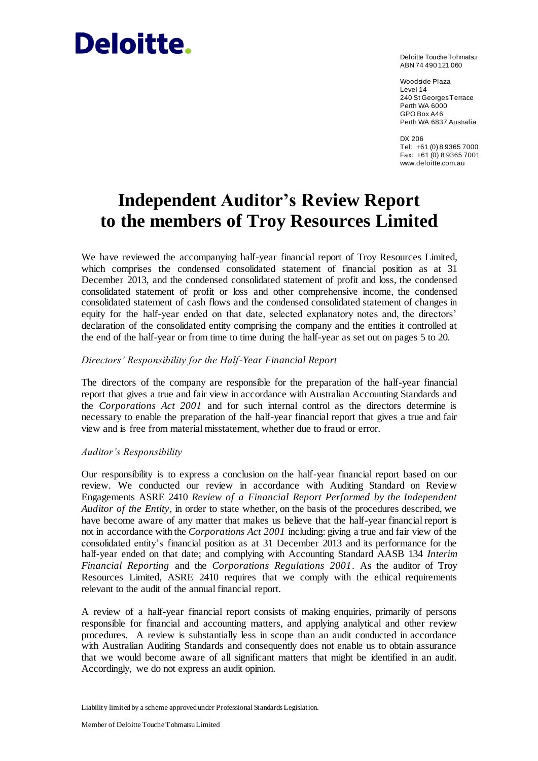# Deloitte.

Deloitte Touche Tohmatsu ABN 74 490 121 060

Woodside Plaza Level 14 240 St Georges Terrace Perth WA 6000 GPO Box A46 Perth WA 6837 Australia

DX 206 Tel: +61 (0) 8 9365 7000 Fax: +61 (0) 8 9365 7001 www.deloitte.com.au

# **Independent Auditor's Review Report to the members of Troy Resources Limited**

We have reviewed the accompanying half-year financial report of Troy Resources Limited, which comprises the condensed consolidated statement of financial position as at 31 December 2013, and the condensed consolidated statement of profit and loss, the condensed consolidated statement of profit or loss and other comprehensive income, the condensed consolidated statement of cash flows and the condensed consolidated statement of changes in equity for the half-year ended on that date, selected explanatory notes and, the directors' declaration of the consolidated entity comprising the company and the entities it controlled at the end of the half-year or from time to time during the half-year as set out on pages 5 to 20.

#### *Directors' Responsibility for the Half-Year Financial Report*

The directors of the company are responsible for the preparation of the half-year financial report that gives a true and fair view in accordance with Australian Accounting Standards and the *Corporations Act 2001* and for such internal control as the directors determine is necessary to enable the preparation of the half-year financial report that gives a true and fair view and is free from material misstatement, whether due to fraud or error.

#### *Auditor's Responsibility*

Our responsibility is to express a conclusion on the half-year financial report based on our review. We conducted our review in accordance with Auditing Standard on Review Engagements ASRE 2410 *Review of a Financial Report Performed by the Independent Auditor of the Entity*, in order to state whether, on the basis of the procedures described, we have become aware of any matter that makes us believe that the half-year financial report is not in accordance with the *Corporations Act 2001* including: giving a true and fair view of the consolidated entity's financial position as at 31 December 2013 and its performance for the half-year ended on that date; and complying with Accounting Standard AASB 134 *Interim Financial Reporting* and the *Corporations Regulations 2001*. As the auditor of Troy Resources Limited, ASRE 2410 requires that we comply with the ethical requirements relevant to the audit of the annual financial report.

A review of a half-year financial report consists of making enquiries, primarily of persons responsible for financial and accounting matters, and applying analytical and other review procedures. A review is substantially less in scope than an audit conducted in accordance with Australian Auditing Standards and consequently does not enable us to obtain assurance that we would become aware of all significant matters that might be identified in an audit. Accordingly, we do not express an audit opinion.

Liability limited by a scheme approved under Professional Standards Legislation.